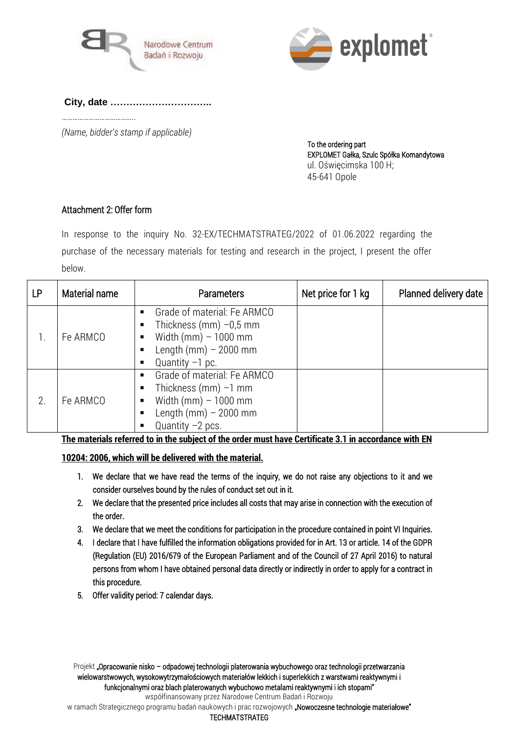



# **City, date …………………………..**

*(Name, bidder's stamp if applicable)* 

 To the ordering part EXPLOMET Gałka, Szulc Spółka Komandytowa ul. Oświęcimska 100 H; 45-641 Opole

## Attachment 2: Offer form

……………………………………

In response to the inquiry No. 32-EX/TECHMATSTRATEG/2022 of 01.06.2022 regarding the purchase of the necessary materials for testing and research in the project, I present the offer below.

| <b>LP</b> | Material name | <b>Parameters</b>                                                                                                                         | Net price for 1 kg | Planned delivery date |
|-----------|---------------|-------------------------------------------------------------------------------------------------------------------------------------------|--------------------|-----------------------|
|           | Fe ARMCO      | Grade of material: Fe ARMCO<br>Thickness (mm) $-0.5$ mm<br>Width (mm) $-1000$ mm<br>п<br>Length (mm) $-2000$ mm<br>Quantity $-1$ pc.      |                    |                       |
| 2.        | Fe ARMCO      | Grade of material: Fe ARMCO<br>Thickness (mm) $-1$ mm<br>п<br>Width $(mm) - 1000$ mm<br>п<br>Length (mm) $-2000$ mm<br>Quantity $-2$ pcs. |                    |                       |

The materials referred to in the subject of the order must have Certificate 3.1 in accordance with EN

### 10204: 2006, which will be delivered with the material.

- 1. We declare that we have read the terms of the inquiry, we do not raise any objections to it and we consider ourselves bound by the rules of conduct set out in it.
- 2. We declare that the presented price includes all costs that may arise in connection with the execution of the order.
- 3. We declare that we meet the conditions for participation in the procedure contained in point VI Inquiries.
- 4. I declare that I have fulfilled the information obligations provided for in Art. 13 or article. 14 of the GDPR (Regulation (EU) 2016/679 of the European Parliament and of the Council of 27 April 2016) to natural persons from whom I have obtained personal data directly or indirectly in order to apply for a contract in this procedure.
- 5. Offer validity period: 7 calendar days.

w ramach Strategicznego programu badań naukowych i prac rozwojowych **"Nowoczesne technologie materiałowe"** 

#### TECHMATSTRATEG